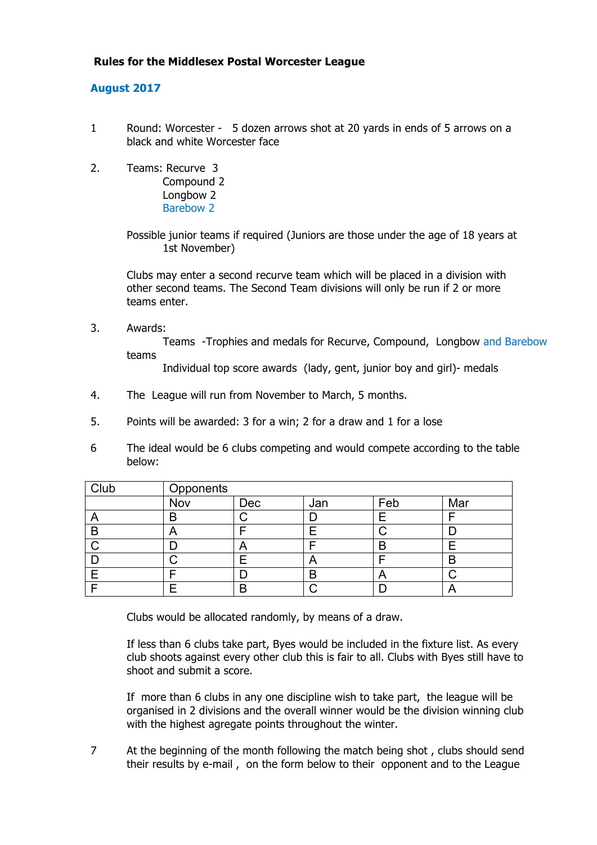## **Rules for the Middlesex Postal Worcester League**

## **August 2017**

- 1 Round: Worcester 5 dozen arrows shot at 20 yards in ends of 5 arrows on a black and white Worcester face
- 2. Teams: Recurve 3 Compound 2 Longbow 2 Barebow 2

Possible junior teams if required (Juniors are those under the age of 18 years at 1st November)

Clubs may enter a second recurve team which will be placed in a division with other second teams. The Second Team divisions will only be run if 2 or more teams enter.

3. Awards:

Teams -Trophies and medals for Recurve, Compound, Longbow and Barebow teams

Individual top score awards (lady, gent, junior boy and girl)- medals

- 4. The League will run from November to March, 5 months.
- 5. Points will be awarded: 3 for a win; 2 for a draw and 1 for a lose
- 6 The ideal would be 6 clubs competing and would compete according to the table below:

| Club | Opponents |            |     |     |            |  |  |
|------|-----------|------------|-----|-----|------------|--|--|
|      | Nov       | Dec        | Jan | Feb | Mar        |  |  |
|      | B         |            |     |     |            |  |  |
| B    |           |            |     |     |            |  |  |
|      |           | $\sqrt{ }$ |     |     |            |  |  |
|      |           |            | ┍┑  |     | D<br>כ     |  |  |
|      |           |            | В   | A   |            |  |  |
|      |           | B          |     |     | $\sqrt{ }$ |  |  |

Clubs would be allocated randomly, by means of a draw.

If less than 6 clubs take part, Byes would be included in the fixture list. As every club shoots against every other club this is fair to all. Clubs with Byes still have to shoot and submit a score.

If more than 6 clubs in any one discipline wish to take part, the league will be organised in 2 divisions and the overall winner would be the division winning club with the highest agregate points throughout the winter.

7 At the beginning of the month following the match being shot, clubs should send their results by e-mail , on the form below to their opponent and to the League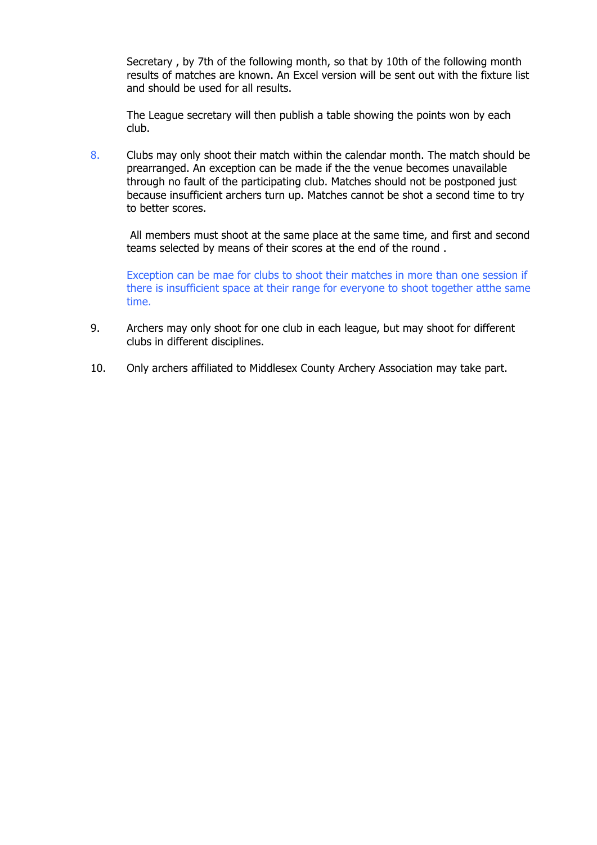Secretary , by 7th of the following month, so that by 10th of the following month results of matches are known. An Excel version will be sent out with the fixture list and should be used for all results.

The League secretary will then publish a table showing the points won by each club.

8. Clubs may only shoot their match within the calendar month. The match should be prearranged. An exception can be made if the the venue becomes unavailable through no fault of the participating club. Matches should not be postponed just because insufficient archers turn up. Matches cannot be shot a second time to try to better scores.

All members must shoot at the same place at the same time, and first and second teams selected by means of their scores at the end of the round .

Exception can be mae for clubs to shoot their matches in more than one session if there is insufficient space at their range for everyone to shoot together atthe same time.

- 9. Archers may only shoot for one club in each league, but may shoot for different clubs in different disciplines.
- 10. Only archers affiliated to Middlesex County Archery Association may take part.